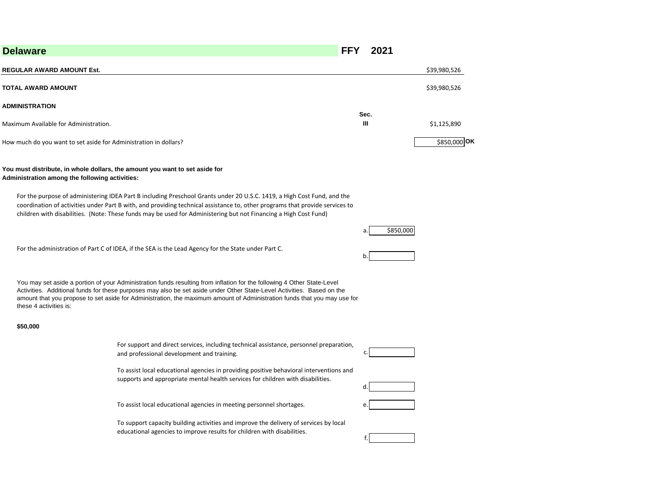| <b>Delaware</b>                                                                                                               |                                                                                                                                                                                                                                                                                                                                                                               | FFY | 2021      |              |
|-------------------------------------------------------------------------------------------------------------------------------|-------------------------------------------------------------------------------------------------------------------------------------------------------------------------------------------------------------------------------------------------------------------------------------------------------------------------------------------------------------------------------|-----|-----------|--------------|
| <b>REGULAR AWARD AMOUNT Est.</b>                                                                                              |                                                                                                                                                                                                                                                                                                                                                                               |     |           | \$39,980,526 |
| TOTAL AWARD AMOUNT                                                                                                            |                                                                                                                                                                                                                                                                                                                                                                               |     |           | \$39,980,526 |
| <b>ADMINISTRATION</b>                                                                                                         |                                                                                                                                                                                                                                                                                                                                                                               |     |           |              |
| Maximum Available for Administration.                                                                                         |                                                                                                                                                                                                                                                                                                                                                                               |     | Sec.<br>Ш | \$1,125,890  |
| How much do you want to set aside for Administration in dollars?                                                              |                                                                                                                                                                                                                                                                                                                                                                               |     |           | \$850,000 OK |
| You must distribute, in whole dollars, the amount you want to set aside for<br>Administration among the following activities: |                                                                                                                                                                                                                                                                                                                                                                               |     |           |              |
|                                                                                                                               | For the purpose of administering IDEA Part B including Preschool Grants under 20 U.S.C. 1419, a High Cost Fund, and the<br>coordination of activities under Part B with, and providing technical assistance to, other programs that provide services to<br>children with disabilities. (Note: These funds may be used for Administering but not Financing a High Cost Fund)   |     |           |              |
|                                                                                                                               |                                                                                                                                                                                                                                                                                                                                                                               |     | \$850,000 |              |
|                                                                                                                               | For the administration of Part C of IDEA, if the SEA is the Lead Agency for the State under Part C.                                                                                                                                                                                                                                                                           |     | b.        |              |
| these 4 activities is:                                                                                                        | You may set aside a portion of your Administration funds resulting from inflation for the following 4 Other State-Level<br>Activities. Additional funds for these purposes may also be set aside under Other State-Level Activities. Based on the<br>amount that you propose to set aside for Administration, the maximum amount of Administration funds that you may use for |     |           |              |
| \$50,000                                                                                                                      |                                                                                                                                                                                                                                                                                                                                                                               |     |           |              |
|                                                                                                                               | For support and direct services, including technical assistance, personnel preparation,<br>and professional development and training.                                                                                                                                                                                                                                         |     | c.        |              |
|                                                                                                                               | To assist local educational agencies in providing positive behavioral interventions and<br>supports and appropriate mental health services for children with disabilities.                                                                                                                                                                                                    |     | d.        |              |
|                                                                                                                               | To assist local educational agencies in meeting personnel shortages.                                                                                                                                                                                                                                                                                                          |     |           |              |
|                                                                                                                               | To support capacity building activities and improve the delivery of services by local<br>educational agencies to improve results for children with disabilities.                                                                                                                                                                                                              |     | f.        |              |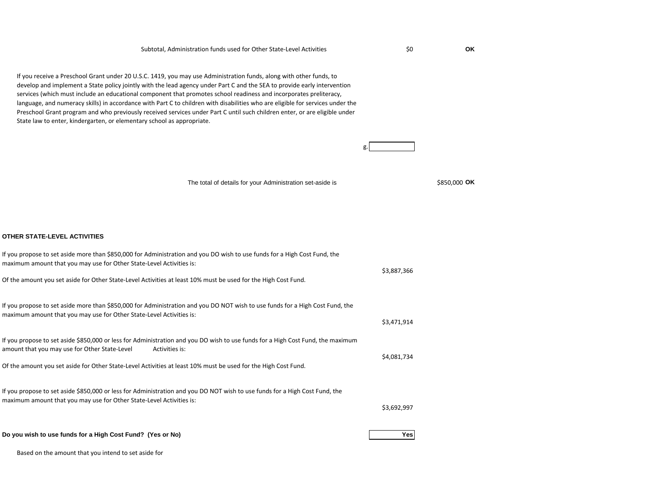\$0 **OK**

g.

If you receive a Preschool Grant under 20 U.S.C. 1419, you may use Administration funds, along with other funds, to develop and implement a State policy jointly with the lead agency under Part C and the SEA to provide early intervention services (which must include an educational component that promotes school readiness and incorporates preliteracy, language, and numeracy skills) in accordance with Part C to children with disabilities who are eligible for services under the Preschool Grant program and who previously received services under Part C until such children enter, or are eligible under State law to enter, kindergarten, or elementary school as appropriate.

The total of details for your Administration set-aside is

\$850,000 OK

## **OTHER STATE-LEVEL ACTIVITIES**

| If you propose to set aside more than \$850,000 for Administration and you DO wish to use funds for a High Cost Fund, the<br>maximum amount that you may use for Other State-Level Activities is:<br>Of the amount you set aside for Other State-Level Activities at least 10% must be used for the High Cost Fund.  | \$3,887,366 |
|----------------------------------------------------------------------------------------------------------------------------------------------------------------------------------------------------------------------------------------------------------------------------------------------------------------------|-------------|
| If you propose to set aside more than \$850,000 for Administration and you DO NOT wish to use funds for a High Cost Fund, the<br>maximum amount that you may use for Other State-Level Activities is:                                                                                                                | \$3,471,914 |
| If you propose to set aside \$850,000 or less for Administration and you DO wish to use funds for a High Cost Fund, the maximum<br>amount that you may use for Other State-Level<br>Activities is:<br>Of the amount you set aside for Other State-Level Activities at least 10% must be used for the High Cost Fund. | \$4,081,734 |
| If you propose to set aside \$850,000 or less for Administration and you DO NOT wish to use funds for a High Cost Fund, the<br>maximum amount that you may use for Other State-Level Activities is:                                                                                                                  | \$3,692,997 |
| Do you wish to use funds for a High Cost Fund? (Yes or No)                                                                                                                                                                                                                                                           | Yes         |

Based on the amount that you intend to set aside for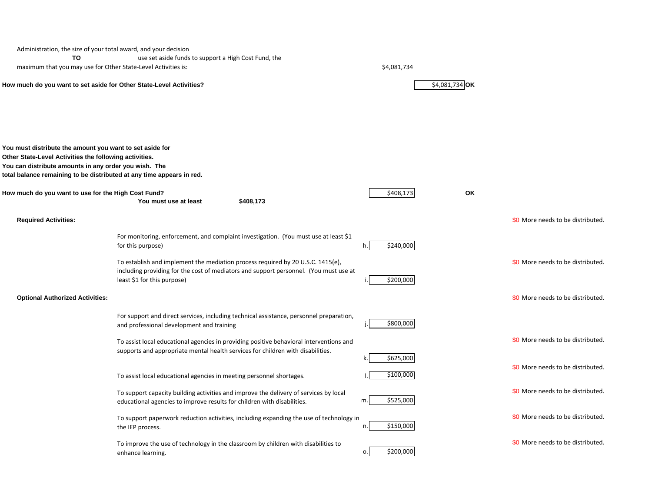| Administration, the size of your total award, and your decision                                                                                                                                                                                      |                                                                                                                                                                                                         |                 |                |                                   |
|------------------------------------------------------------------------------------------------------------------------------------------------------------------------------------------------------------------------------------------------------|---------------------------------------------------------------------------------------------------------------------------------------------------------------------------------------------------------|-----------------|----------------|-----------------------------------|
| то                                                                                                                                                                                                                                                   | use set aside funds to support a High Cost Fund, the                                                                                                                                                    |                 |                |                                   |
| maximum that you may use for Other State-Level Activities is:                                                                                                                                                                                        |                                                                                                                                                                                                         | \$4,081,734     |                |                                   |
| How much do you want to set aside for Other State-Level Activities?                                                                                                                                                                                  |                                                                                                                                                                                                         |                 | \$4,081,734 OK |                                   |
| You must distribute the amount you want to set aside for<br>Other State-Level Activities the following activities.<br>You can distribute amounts in any order you wish. The<br>total balance remaining to be distributed at any time appears in red. |                                                                                                                                                                                                         |                 |                |                                   |
| How much do you want to use for the High Cost Fund?                                                                                                                                                                                                  | \$408,173<br>You must use at least                                                                                                                                                                      | \$408,173       | OK             |                                   |
| <b>Required Activities:</b>                                                                                                                                                                                                                          |                                                                                                                                                                                                         |                 |                | \$0 More needs to be distributed. |
|                                                                                                                                                                                                                                                      | For monitoring, enforcement, and complaint investigation. (You must use at least \$1<br>for this purpose)                                                                                               | \$240,000<br>h. |                |                                   |
|                                                                                                                                                                                                                                                      | To establish and implement the mediation process required by 20 U.S.C. 1415(e),<br>including providing for the cost of mediators and support personnel. (You must use at<br>least \$1 for this purpose) | \$200,000       |                | \$0 More needs to be distributed. |
| <b>Optional Authorized Activities:</b>                                                                                                                                                                                                               |                                                                                                                                                                                                         |                 |                | \$0 More needs to be distributed. |
|                                                                                                                                                                                                                                                      | For support and direct services, including technical assistance, personnel preparation,<br>and professional development and training                                                                    | \$800,000<br>j. |                |                                   |
|                                                                                                                                                                                                                                                      | To assist local educational agencies in providing positive behavioral interventions and<br>supports and appropriate mental health services for children with disabilities.                              | \$625,000       |                | \$0 More needs to be distributed. |
|                                                                                                                                                                                                                                                      | To assist local educational agencies in meeting personnel shortages.                                                                                                                                    | \$100,000       |                | \$0 More needs to be distributed. |
|                                                                                                                                                                                                                                                      | To support capacity building activities and improve the delivery of services by local<br>educational agencies to improve results for children with disabilities.                                        | \$525,000<br>m. |                | \$0 More needs to be distributed. |
|                                                                                                                                                                                                                                                      | To support paperwork reduction activities, including expanding the use of technology in<br>the IEP process.                                                                                             | \$150,000<br>n. |                | \$0 More needs to be distributed. |
|                                                                                                                                                                                                                                                      | To improve the use of technology in the classroom by children with disabilities to<br>enhance learning.                                                                                                 | \$200,000<br>0. |                | \$0 More needs to be distributed. |
|                                                                                                                                                                                                                                                      |                                                                                                                                                                                                         |                 |                |                                   |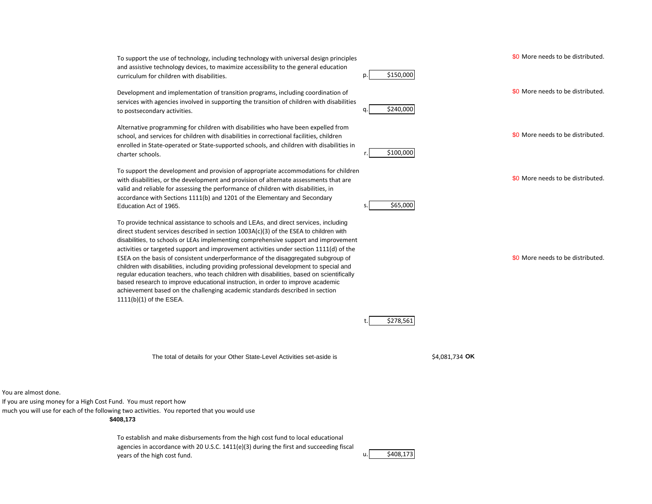p. \$150,000 To support the use of technology, including technology with universal design principles and assistive technology devices, to maximize accessibility to the general education curriculum for children with disabilities.

Development and implementation of transition programs, including coordination of services with agencies involved in supporting the transition of children with disabilities to postsecondary activities.

Alternative programming for children with disabilities who have been expelled from school, and services for children with disabilities in correctional facilities, children enrolled in State-operated or State-supported schools, and children with disabilities in charter schools.

To support the development and provision of appropriate accommodations for children with disabilities, or the development and provision of alternate assessments that are valid and reliable for assessing the performance of children with disabilities, in accordance with Sections 1111(b) and 1201 of the Elementary and Secondary Education Act of 1965.

To provide technical assistance to schools and LEAs, and direct services, including direct student services described in section 1003A(c)(3) of the ESEA to children with disabilities, to schools or LEAs implementing comprehensive support and improvement activities or targeted support and improvement activities under section 1111(d) of the ESEA on the basis of consistent underperformance of the disaggregated subgroup of children with disabilities, including providing professional development to special and regular education teachers, who teach children with disabilities, based on scientifically based research to improve educational instruction, in order to improve academic achievement based on the challenging academic standards described in section 1111(b)(1) of the ESEA.

The total of details for your Other State-Level Activities set-aside is

\$0 More needs to be distributed.

\$0 More needs to be distributed.

\$0 More needs to be distributed.

\$0 More needs to be distributed.

\$0 More needs to be distributed.

\$4,081,734 OK

You are almost done.

If you are using money for a High Cost Fund. You must report how

much you will use for each of the following two activities. You reported that you would use

**\$408,173**

To establish and make disbursements from the high cost fund to local educational agencies in accordance with 20 U.S.C.  $1411(e)(3)$  during the first and succeeding fiscal years of the high cost fund.

\$408,173

q. \$240,000

\$100,000

s. \$65,000

\$278,561